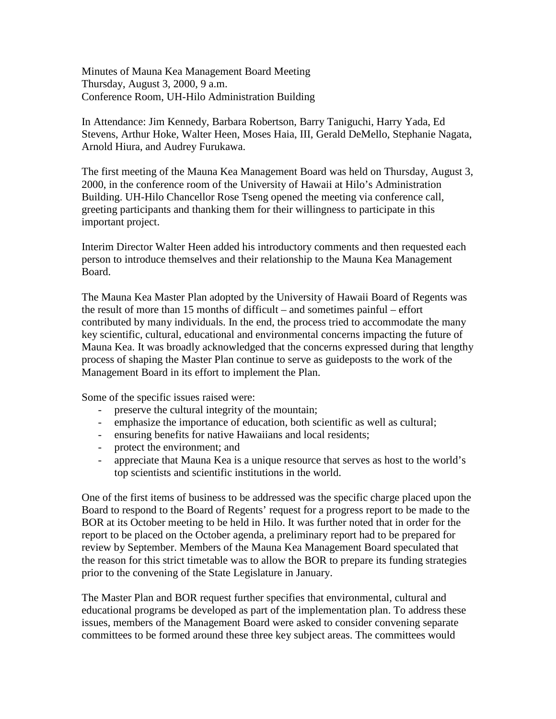Minutes of Mauna Kea Management Board Meeting Thursday, August 3, 2000, 9 a.m. Conference Room, UH-Hilo Administration Building

In Attendance: Jim Kennedy, Barbara Robertson, Barry Taniguchi, Harry Yada, Ed Stevens, Arthur Hoke, Walter Heen, Moses Haia, III, Gerald DeMello, Stephanie Nagata, Arnold Hiura, and Audrey Furukawa.

The first meeting of the Mauna Kea Management Board was held on Thursday, August 3, 2000, in the conference room of the University of Hawaii at Hilo's Administration Building. UH-Hilo Chancellor Rose Tseng opened the meeting via conference call, greeting participants and thanking them for their willingness to participate in this important project.

Interim Director Walter Heen added his introductory comments and then requested each person to introduce themselves and their relationship to the Mauna Kea Management Board.

The Mauna Kea Master Plan adopted by the University of Hawaii Board of Regents was the result of more than 15 months of difficult – and sometimes painful – effort contributed by many individuals. In the end, the process tried to accommodate the many key scientific, cultural, educational and environmental concerns impacting the future of Mauna Kea. It was broadly acknowledged that the concerns expressed during that lengthy process of shaping the Master Plan continue to serve as guideposts to the work of the Management Board in its effort to implement the Plan.

Some of the specific issues raised were:

- preserve the cultural integrity of the mountain;
- emphasize the importance of education, both scientific as well as cultural;
- ensuring benefits for native Hawaiians and local residents;
- protect the environment; and
- appreciate that Mauna Kea is a unique resource that serves as host to the world's top scientists and scientific institutions in the world.

One of the first items of business to be addressed was the specific charge placed upon the Board to respond to the Board of Regents' request for a progress report to be made to the BOR at its October meeting to be held in Hilo. It was further noted that in order for the report to be placed on the October agenda, a preliminary report had to be prepared for review by September. Members of the Mauna Kea Management Board speculated that the reason for this strict timetable was to allow the BOR to prepare its funding strategies prior to the convening of the State Legislature in January.

The Master Plan and BOR request further specifies that environmental, cultural and educational programs be developed as part of the implementation plan. To address these issues, members of the Management Board were asked to consider convening separate committees to be formed around these three key subject areas. The committees would